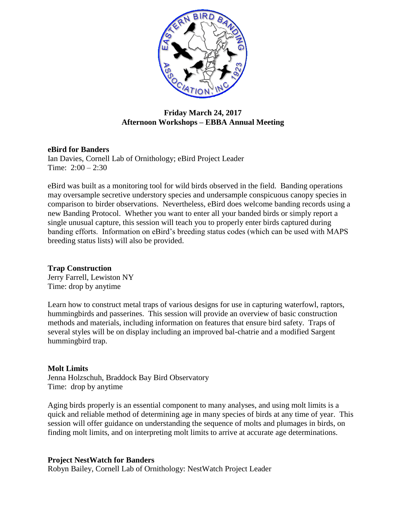

## **Friday March 24, 2017 Afternoon Workshops – EBBA Annual Meeting**

### **eBird for Banders**

Ian Davies, Cornell Lab of Ornithology; eBird Project Leader Time:  $2:00 - 2:30$ 

eBird was built as a monitoring tool for wild birds observed in the field. Banding operations may oversample secretive understory species and undersample conspicuous canopy species in comparison to birder observations. Nevertheless, eBird does welcome banding records using a new Banding Protocol. Whether you want to enter all your banded birds or simply report a single unusual capture, this session will teach you to properly enter birds captured during banding efforts. Information on eBird's breeding status codes (which can be used with MAPS breeding status lists) will also be provided.

# **Trap Construction**

Jerry Farrell, Lewiston NY Time: drop by anytime

Learn how to construct metal traps of various designs for use in capturing waterfowl, raptors, hummingbirds and passerines. This session will provide an overview of basic construction methods and materials, including information on features that ensure bird safety. Traps of several styles will be on display including an improved bal-chatrie and a modified Sargent hummingbird trap.

### **Molt Limits**

Jenna Holzschuh, Braddock Bay Bird Observatory Time: drop by anytime

Aging birds properly is an essential component to many analyses, and using molt limits is a quick and reliable method of determining age in many species of birds at any time of year. This session will offer guidance on understanding the sequence of molts and plumages in birds, on finding molt limits, and on interpreting molt limits to arrive at accurate age determinations.

### **Project NestWatch for Banders**

Robyn Bailey, Cornell Lab of Ornithology: NestWatch Project Leader